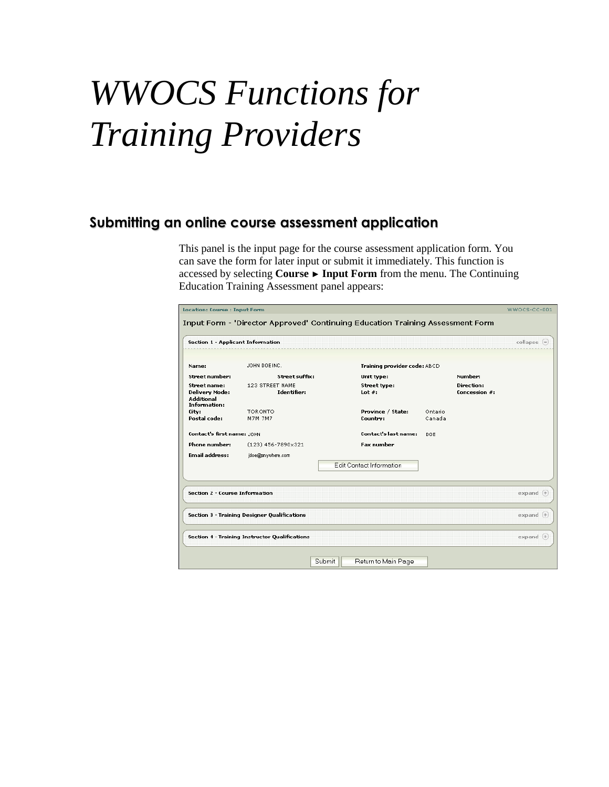# *WWOCS Functions for Training Providers*

## <span id="page-0-0"></span>**Submitting an online course assessment application**

This panel is the input page for the course assessment application form. You can save the form for later input or submit it immediately. This function is accessed by selecting **Course ► Input Form** from the menu. The Continuing Education Training Assessment panel appears:

| Section 1 - Applicant Information<br>JOHN DOEINC.<br>Street suffix:<br>123 STREET NAME<br>Identifier:<br><b>TORONTO</b><br>M7M 7M7 | Training provider code: ABCD<br>Unit type:<br>Street type:<br>Lot $#$ :<br>Province / State:                                                                                            | Ontario                                                | Number:<br><b>Direction:</b><br><b>Concession #:</b> | collapse =   |
|------------------------------------------------------------------------------------------------------------------------------------|-----------------------------------------------------------------------------------------------------------------------------------------------------------------------------------------|--------------------------------------------------------|------------------------------------------------------|--------------|
|                                                                                                                                    |                                                                                                                                                                                         |                                                        |                                                      |              |
|                                                                                                                                    |                                                                                                                                                                                         |                                                        |                                                      |              |
|                                                                                                                                    |                                                                                                                                                                                         |                                                        |                                                      |              |
|                                                                                                                                    |                                                                                                                                                                                         |                                                        |                                                      |              |
|                                                                                                                                    |                                                                                                                                                                                         |                                                        |                                                      |              |
|                                                                                                                                    | Country:                                                                                                                                                                                | Canada                                                 |                                                      |              |
|                                                                                                                                    | Contact's last name:                                                                                                                                                                    | DOE                                                    |                                                      |              |
|                                                                                                                                    | <b>Fax number</b>                                                                                                                                                                       |                                                        |                                                      |              |
|                                                                                                                                    |                                                                                                                                                                                         |                                                        |                                                      |              |
|                                                                                                                                    |                                                                                                                                                                                         |                                                        |                                                      |              |
|                                                                                                                                    |                                                                                                                                                                                         |                                                        |                                                      | $expand (+$  |
|                                                                                                                                    |                                                                                                                                                                                         |                                                        |                                                      | $expand$ +   |
|                                                                                                                                    |                                                                                                                                                                                         |                                                        |                                                      | $expand$ $+$ |
|                                                                                                                                    | $(123)$ 456-7890×321<br>jdoe@anywhere.com<br>Section 2 - Course Information<br>Section 3 - Training Designer Qualifications<br>Section 4 - Training Instructor Qualifications<br>Submit | <b>Edit Contact Information</b><br>Return to Main Page |                                                      |              |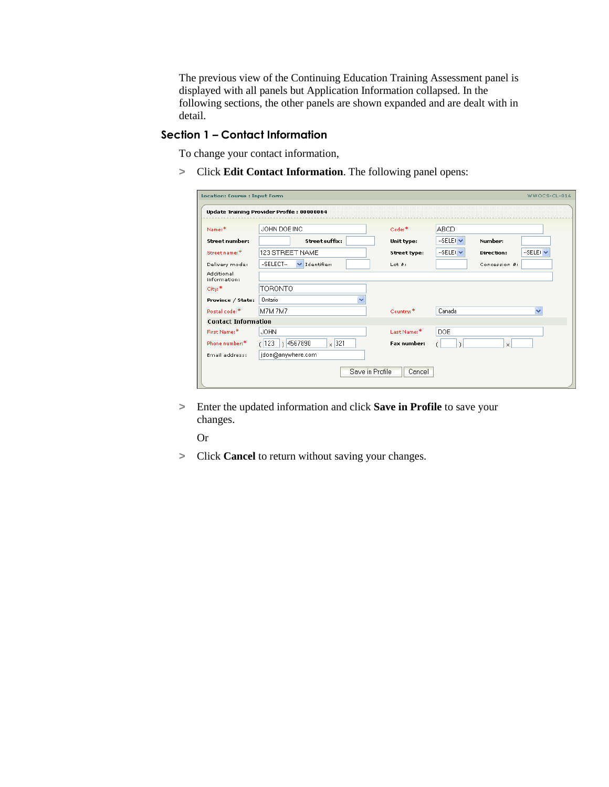The previous view of the Continuing Education Training Assessment panel is displayed with all panels but Application Information collapsed. In the following sections, the other panels are shown expanded and are dealt with in detail.

#### **Section 1 – Contact Information**

To change your contact information,

**>** Click **Edit Contact Information**. The following panel opens:

|                            | Update Training Provider Profile: 00000064 |              |                      |                                           |
|----------------------------|--------------------------------------------|--------------|----------------------|-------------------------------------------|
| Name:*                     | JOHN DOE INC.                              | Code:*       | ABCD                 |                                           |
| Street number:             | Street suffix:                             | Unit type:   | --SELEI <sup>V</sup> | Number:                                   |
| Street name:*              | 123 STREET NAME                            | Street type: | --SELEI <sup>V</sup> | --SELEI <sup>V</sup><br><b>Direction:</b> |
| Delivery mode:             | --SELECT--<br>V Identifier:                | Lot $#$ :    |                      | Concession #:                             |
| Additional<br>information: |                                            |              |                      |                                           |
| City:*                     | <b>TORONTO</b>                             |              |                      |                                           |
| Province / State:          | Ontario                                    |              |                      |                                           |
| Postal code:*              | M7M 7M7                                    | Country:*    | Canada               | $\checkmark$                              |
| <b>Contact Information</b> |                                            |              |                      |                                           |
| First Name:*               | <b>JOHN</b>                                | Last Name:*  | <b>DOE</b>           |                                           |
| Phone number:*             | $\times$ 321<br>4567890<br>(123)           | Fax number:  |                      | $\times$                                  |
| Email address:             | jdoe@anywhere.com                          |              |                      |                                           |

**>** Enter the updated information and click **Save in Profile** to save your changes.

Or

**>** Click **Cancel** to return without saving your changes.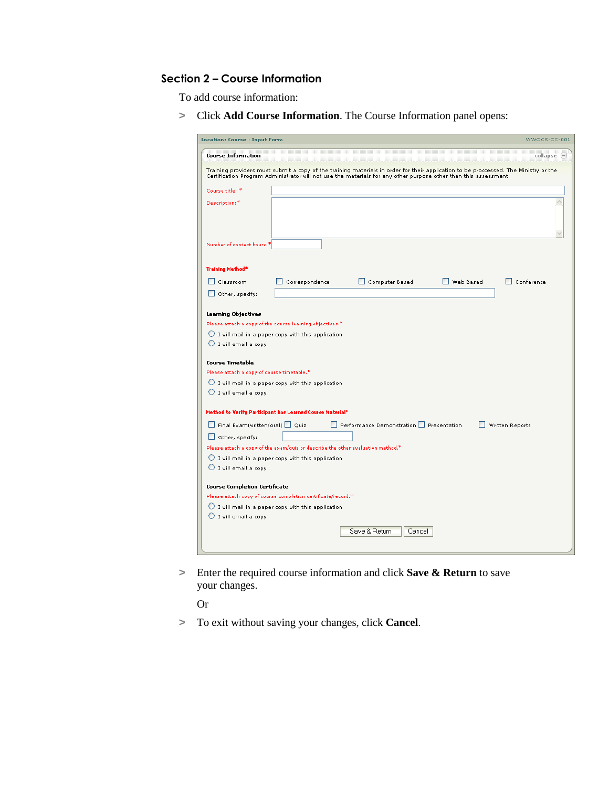## **Section 2 – Course Information**

To add course information:

**>** Click **Add Course Information**. The Course Information panel opens:

| <b>Course Information</b>                   | $\text{collapse} \equiv$                                                                                                                                                                                                                                |
|---------------------------------------------|---------------------------------------------------------------------------------------------------------------------------------------------------------------------------------------------------------------------------------------------------------|
|                                             | Training providers must submit a copy of the training materials in order for their application to be proccessed. The Ministry or the<br>Certification Program Administrator will not use the materials for any other purpose other than this assessment |
| Course title: *                             |                                                                                                                                                                                                                                                         |
| Description:*                               |                                                                                                                                                                                                                                                         |
|                                             |                                                                                                                                                                                                                                                         |
|                                             |                                                                                                                                                                                                                                                         |
|                                             |                                                                                                                                                                                                                                                         |
| Number of contact hours:*                   |                                                                                                                                                                                                                                                         |
|                                             |                                                                                                                                                                                                                                                         |
| <b>Training Method*</b>                     |                                                                                                                                                                                                                                                         |
| Classroom<br>H                              | Web Based<br>$\Gamma$ Conference<br>Correspondence<br>Computer Based                                                                                                                                                                                    |
| $\Box$ Other, specify:                      |                                                                                                                                                                                                                                                         |
|                                             |                                                                                                                                                                                                                                                         |
| <b>Learning Objectives</b>                  |                                                                                                                                                                                                                                                         |
|                                             | Please attach a copy of the course learning objectives.*                                                                                                                                                                                                |
|                                             | $\bigcirc$ I will mail in a paper copy with this application                                                                                                                                                                                            |
| $\bigcirc$ I will email a copy              |                                                                                                                                                                                                                                                         |
| <b>Course Timetable</b>                     |                                                                                                                                                                                                                                                         |
| Please attach a copy of course timetable.*  |                                                                                                                                                                                                                                                         |
|                                             | $\bigcirc$ I will mail in a paper copy with this application                                                                                                                                                                                            |
| $\bigcirc$ I will email a copy              |                                                                                                                                                                                                                                                         |
|                                             |                                                                                                                                                                                                                                                         |
|                                             | Method to Verify Participant has Learned Course Material*                                                                                                                                                                                               |
| $\Box$ Final Exam(written/oral) $\Box$ Quiz | Performance Demonstration Presentation<br>Written Reports                                                                                                                                                                                               |
| $\Box$ Other, specify:                      |                                                                                                                                                                                                                                                         |
|                                             | Please attach a copy of the exam/quiz or describe the other evaluation method.*                                                                                                                                                                         |
|                                             | $\bigcirc$ I will mail in a paper copy with this application                                                                                                                                                                                            |
| $\bigcirc$ I will email a copy              |                                                                                                                                                                                                                                                         |
| <b>Course Completion Certificate</b>        |                                                                                                                                                                                                                                                         |
|                                             | Please attach copy of course completion certificate/record.*                                                                                                                                                                                            |
|                                             | $\bigcirc$ I will mail in a paper copy with this application                                                                                                                                                                                            |
|                                             |                                                                                                                                                                                                                                                         |
|                                             |                                                                                                                                                                                                                                                         |
| $O$ I will email a copy                     | Save & Return<br>Cancel                                                                                                                                                                                                                                 |

**>** Enter the required course information and click **Save & Return** to save your changes.

Or

**>** To exit without saving your changes, click **Cancel**.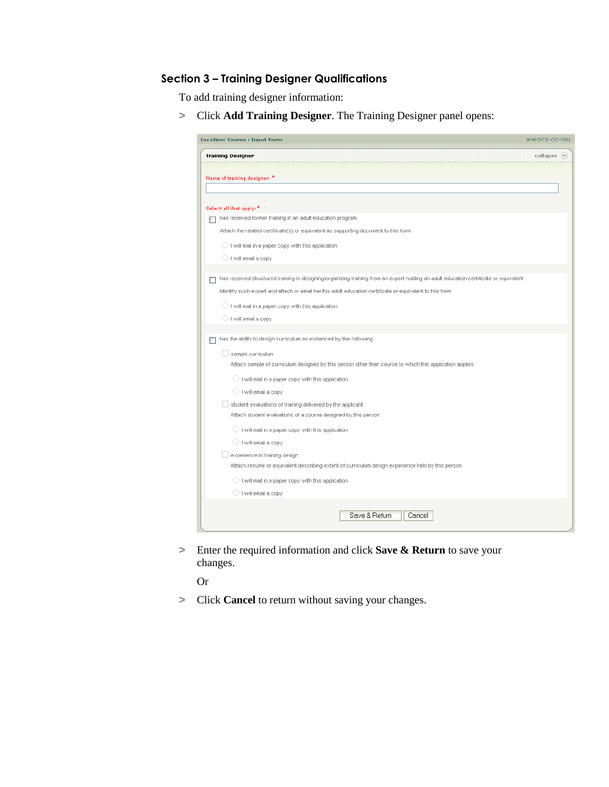## **Section 3 – Training Designer Qualifications**

To add training designer information:

**>** Click **Add Training Designer**. The Training Designer panel opens:

|                                                                                                                                       | WWOCS-CC-001 |
|---------------------------------------------------------------------------------------------------------------------------------------|--------------|
| <b>Training Designer</b>                                                                                                              | collapse (=  |
| Name of training designer: *                                                                                                          |              |
|                                                                                                                                       |              |
| Select all that apply:*                                                                                                               |              |
| has received former training in an adult education program                                                                            |              |
| Attach the related certificate(s) or equivalent as supporting document to this form                                                   |              |
| ◯ I will mail in a paper copy with this application                                                                                   |              |
| ◯ I will email a copy                                                                                                                 |              |
| has received structured training in designing/organizing training from an expert holding an adult education certificate or equivalent |              |
| Identify such expert and attach or email her/his adult education certificate or equivalent to this form                               |              |
| I will mail in a paper copy with this application                                                                                     |              |
| ◯ I will email a copy                                                                                                                 |              |
|                                                                                                                                       |              |
| has the ability to design curriculum as evidenced by the following:                                                                   |              |
| sample curriculum                                                                                                                     |              |
| Attach sample of curriculum designed by this person other than course to which this application applies                               |              |
| I will mail in a paper copy with this application                                                                                     |              |
| ◯ I will email a copy                                                                                                                 |              |
| student evaluations of training delivered by the applicant                                                                            |              |
| Attach student evaluations of a course designed by this person                                                                        |              |
| I will mail in a paper copy with this application                                                                                     |              |
| ◯ I will email a copy                                                                                                                 |              |
| experience in training design                                                                                                         |              |
| Attach resume or equivalent describing extent of curriculum design experience held by this person                                     |              |
| I will mail in a paper copy with this application                                                                                     |              |
| ◯ I will email a copy                                                                                                                 |              |

**>** Enter the required information and click **Save & Return** to save your changes.

Or

**>** Click **Cancel** to return without saving your changes.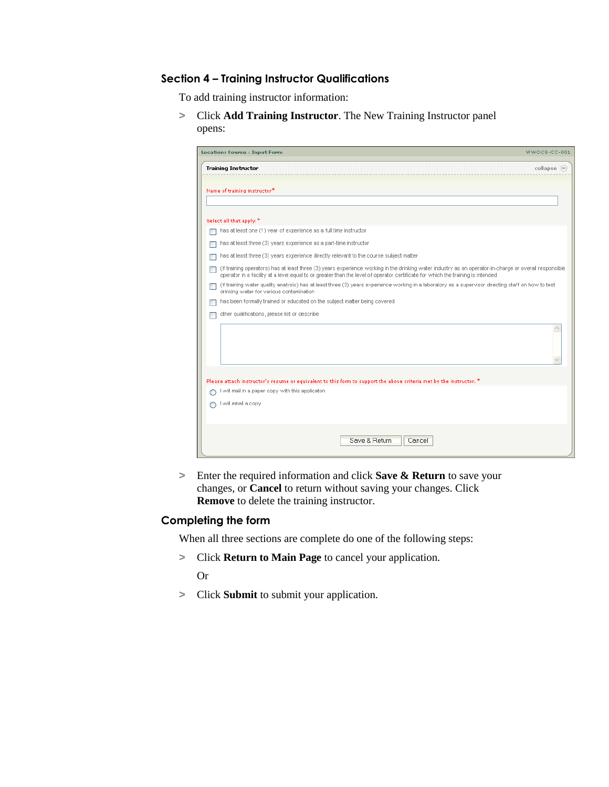#### **Section 4 – Training Instructor Qualifications**

To add training instructor information:

**>** Click **Add Training Instructor**. The New Training Instructor panel opens:

| <b>Location: Course: Input Form</b>                                                                                                                                                                                                                                                       | WWOCS-CC-001   |
|-------------------------------------------------------------------------------------------------------------------------------------------------------------------------------------------------------------------------------------------------------------------------------------------|----------------|
| <b>Training Instructor</b>                                                                                                                                                                                                                                                                | $collapse$ $=$ |
| Name of training instructor*                                                                                                                                                                                                                                                              |                |
| Select all that apply:*                                                                                                                                                                                                                                                                   |                |
| has at least one (1) year of experience as a full time instructor                                                                                                                                                                                                                         |                |
| has at least three (3) years experience as a part-time instructor                                                                                                                                                                                                                         |                |
| has at least three (3) years experience directly relevant to the course subject matter                                                                                                                                                                                                    |                |
| (if training operators) has at least three (3) years experience working in the drinking water industry as an operator-in-charge or overall responsible<br>operator in a facility at a level equal to or greater than the level of operator certificate for which the training is intended |                |
| (if training water quality analysis) has at least three (3) years experience working in a laboratory as a supervisor directing staff on how to test<br>drinking water for various contamination                                                                                           |                |
| has been formally trained or educated on the subject matter being covered                                                                                                                                                                                                                 |                |
| other qualifications, please list or describe                                                                                                                                                                                                                                             |                |
|                                                                                                                                                                                                                                                                                           |                |
| Please attach instructor's resume or equivalent to this form to support the above criteria met by the instructor. *                                                                                                                                                                       |                |
| I will mail in a paper copy with this applicaton                                                                                                                                                                                                                                          |                |
| I will email a copy                                                                                                                                                                                                                                                                       |                |
| Save & Return<br>Cancel                                                                                                                                                                                                                                                                   |                |

**>** Enter the required information and click **Save & Return** to save your changes, or **Cancel** to return without saving your changes. Click **Remove** to delete the training instructor.

#### **Completing the form**

When all three sections are complete do one of the following steps:

**>** Click **Return to Main Page** to cancel your application.

Or

**>** Click **Submit** to submit your application.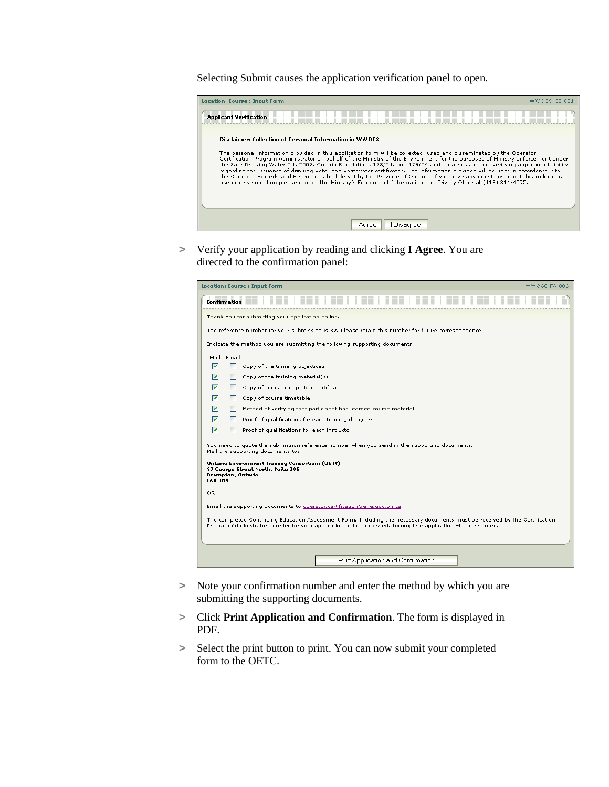Selecting Submit causes the application verification panel to open.

| Location: Course: Input Form                            | WWOCS-CE-001                                                                                                                                                                                                                                                                                                                                                                                                                                                                                                                                                                                                                                                                                                                                                                 |
|---------------------------------------------------------|------------------------------------------------------------------------------------------------------------------------------------------------------------------------------------------------------------------------------------------------------------------------------------------------------------------------------------------------------------------------------------------------------------------------------------------------------------------------------------------------------------------------------------------------------------------------------------------------------------------------------------------------------------------------------------------------------------------------------------------------------------------------------|
| <b>Applicant Verification</b>                           |                                                                                                                                                                                                                                                                                                                                                                                                                                                                                                                                                                                                                                                                                                                                                                              |
| Disclaimer: Collection of Personal Information in WWOCS |                                                                                                                                                                                                                                                                                                                                                                                                                                                                                                                                                                                                                                                                                                                                                                              |
|                                                         | The personal information provided in this application form will be collected, used and disseminated by the Operator<br>Certification Program Administrator on behalf of the Ministry of the Environment for the purposes of Ministry enforcement under<br>the Safe Drinking Water Act, 2002, Ontario Regulations 128/04, and 129/04 and for assessing and verifying applicant eligibility<br>regarding the issuance of drinking water and wastewater certificates. The information provided will be kept in accordance with<br>the Common Records and Retention schedule set by the Province of Ontario. If you have any questions about this collection,<br>use or dissemination please contact the Ministry's Freedom of Information and Privacy Office at (416) 314-4075. |
|                                                         | <b>LAgree</b><br>l Disagree                                                                                                                                                                                                                                                                                                                                                                                                                                                                                                                                                                                                                                                                                                                                                  |

**>** Verify your application by reading and clicking **I Agree**. You are directed to the confirmation panel:

| <b>Location: Course: Input Form</b>                                                                                                                                                                                                          | WWOCS-FA-006 |  |  |  |
|----------------------------------------------------------------------------------------------------------------------------------------------------------------------------------------------------------------------------------------------|--------------|--|--|--|
| Confirmation                                                                                                                                                                                                                                 |              |  |  |  |
| Thank you for submitting your application online.                                                                                                                                                                                            |              |  |  |  |
| The reference number for your submission is 82. Please retain this number for future correspondence.                                                                                                                                         |              |  |  |  |
| Indicate the method you are submitting the following supporting documents.                                                                                                                                                                   |              |  |  |  |
| Mail Email                                                                                                                                                                                                                                   |              |  |  |  |
| 罓<br>Copy of the training objectives                                                                                                                                                                                                         |              |  |  |  |
| 罓<br>Copy of the training material(s)                                                                                                                                                                                                        |              |  |  |  |
| 罓<br>Copy of course completion certificate                                                                                                                                                                                                   |              |  |  |  |
| 罓<br>Copy of course timetable                                                                                                                                                                                                                |              |  |  |  |
| 罓<br>Method of verifying that participant has learned course material                                                                                                                                                                        |              |  |  |  |
| ☑<br>Proof of qualifications for each training designer                                                                                                                                                                                      |              |  |  |  |
| ☑<br>Proof of qualifications for each instructor                                                                                                                                                                                             |              |  |  |  |
| You need to quote the submission reference number when you send in the supporting documents.<br>Mail the supporting documents to:                                                                                                            |              |  |  |  |
| Ontario Environment Training Consortium (OETC)<br>37 George Street North, Suite 206<br>Brampton, Ontario<br><b>L6X 1R5</b>                                                                                                                   |              |  |  |  |
| OR.                                                                                                                                                                                                                                          |              |  |  |  |
| Email the supporting documents to operator.certification@ene.gov.on.ca                                                                                                                                                                       |              |  |  |  |
| The completed Continuing Education Assessment Form. Including the necessary documents must be received by the Certification<br>Program Administrator in order for your application to be processed. Incomplete application will be returned. |              |  |  |  |
|                                                                                                                                                                                                                                              |              |  |  |  |
| Print Application and Confirmation                                                                                                                                                                                                           |              |  |  |  |

- **>** Note your confirmation number and enter the method by which you are submitting the supporting documents.
- **>** Click **Print Application and Confirmation**. The form is displayed in PDF.
- **>** Select the print button to print. You can now submit your completed form to the OETC.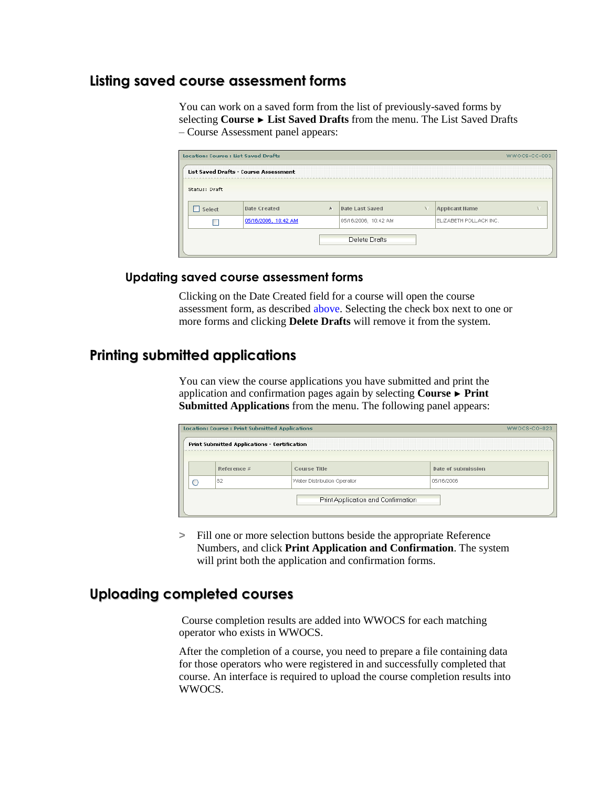## **Listing saved course assessment forms**

You can work on a saved form from the list of previously-saved forms by selecting **Course ► List Saved Drafts** from the menu. The List Saved Drafts – Course Assessment panel appears:

|                                       | Location: Course : List Saved Drafts<br>WWOCS-CC-003 |   |                      |  |                        |  |  |  |  |
|---------------------------------------|------------------------------------------------------|---|----------------------|--|------------------------|--|--|--|--|
| List Saved Drafts - Course Assessment |                                                      |   |                      |  |                        |  |  |  |  |
| Status: Draft                         |                                                      |   |                      |  |                        |  |  |  |  |
| Select                                | Date Created                                         | A | Date Last Saved      |  | <b>Applicant Name</b>  |  |  |  |  |
|                                       | 05/16/2006, 10:42 AM                                 |   | 05/16/2006, 10:42 AM |  | ELIZABETH POLLACK INC. |  |  |  |  |
|                                       | Delete Drafts                                        |   |                      |  |                        |  |  |  |  |

## **Updating saved course assessment forms**

Clicking on the Date Created field for a course will open the course assessment form, as described [above.](#page-0-0) Selecting the check box next to one or more forms and clicking **Delete Drafts** will remove it from the system.

## **Printing submitted applications**

You can view the course applications you have submitted and print the application and confirmation pages again by selecting **Course ► Print Submitted Applications** from the menu. The following panel appears:

| <b>Location: Course: Print Submitted Applications</b> |             |                             |                    |  |  |  |  |
|-------------------------------------------------------|-------------|-----------------------------|--------------------|--|--|--|--|
| Print Submitted Applications - Certification          |             |                             |                    |  |  |  |  |
|                                                       | Reference # | Course Title                | Date of submission |  |  |  |  |
|                                                       | 82          | Water Distribution Operator | 05/16/2006         |  |  |  |  |
| Print Application and Confirmation                    |             |                             |                    |  |  |  |  |

**>** Fill one or more selection buttons beside the appropriate Reference Numbers, and click **Print Application and Confirmation**. The system will print both the application and confirmation forms.

## **Uploading completed courses**

Course completion results are added into WWOCS for each matching operator who exists in WWOCS.

After the completion of a course, you need to prepare a file containing data for those operators who were registered in and successfully completed that course. An interface is required to upload the course completion results into WWOCS.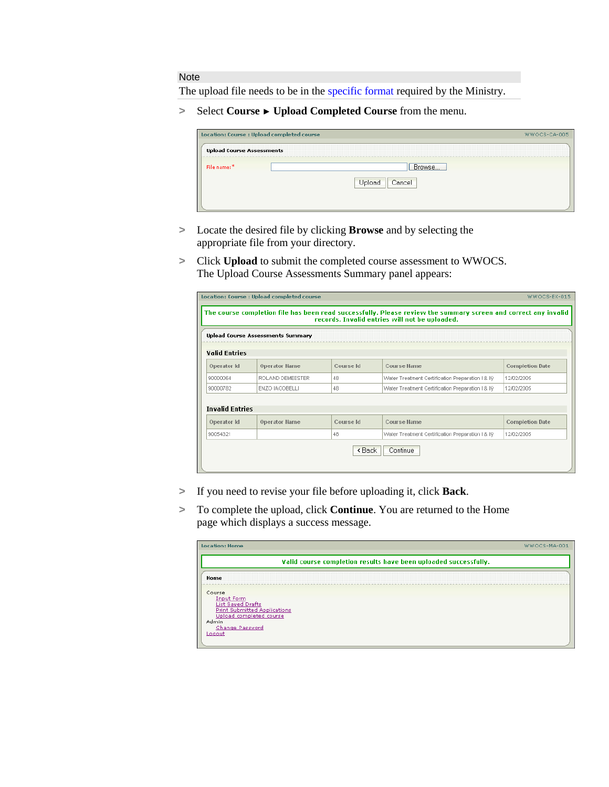#### Note

The upload file needs to be in the [specific format](#page-8-0) required by the Ministry.

**>** Select **Course ► Upload Completed Course** from the menu.

|                  | WWOCS-CA-005                               |
|------------------|--------------------------------------------|
|                  |                                            |
| Browse           |                                            |
| Cancel<br>Upload |                                            |
|                  |                                            |
|                  | Location: Course : Upload completed course |

- **>** Locate the desired file by clicking **Browse** and by selecting the appropriate file from your directory.
- **>** Click **Upload** to submit the completed course assessment to WWOCS. The Upload Course Assessments Summary panel appears:

| <b>Upload Course Assessments Summary</b> |           |                                                                                                  |                                                               |
|------------------------------------------|-----------|--------------------------------------------------------------------------------------------------|---------------------------------------------------------------|
|                                          |           |                                                                                                  |                                                               |
|                                          |           |                                                                                                  |                                                               |
| <b>Operator Name</b>                     | Course Id | Course Name                                                                                      | <b>Completion Date</b>                                        |
| ROLAND DEMEESTER                         | 48        |                                                                                                  | 12/02/2005                                                    |
| ENZO IACOBELLI                           | 48        | Water Treatment Certification Preparation   & IIV                                                | 12/02/2005                                                    |
| <b>Operator Name</b>                     | Course Id | Course Name                                                                                      | <b>Completion Date</b>                                        |
|                                          | 48        | Water Treatment Certification Preparation   & II9                                                |                                                               |
|                                          |           | <back< td=""><td>Water Treatment Certification Preparation   &amp; IIV<br/>Continue</td></back<> | Water Treatment Certification Preparation   & IIV<br>Continue |

- **>** If you need to revise your file before uploading it, click **Back**.
- **>** To complete the upload, click **Continue**. You are returned to the Home page which displays a success message.

| Location: Home                                                                                                                                                  | WWOCS-MA-001 |
|-----------------------------------------------------------------------------------------------------------------------------------------------------------------|--------------|
| Valid course completion results have been uploaded successfully.                                                                                                |              |
| Home                                                                                                                                                            |              |
| Course<br><b>Input Form</b><br><b>List Saved Drafts</b><br><b>Print Submitted Applications</b><br>Upload completed course<br>Admin<br>Change Password<br>Logout |              |